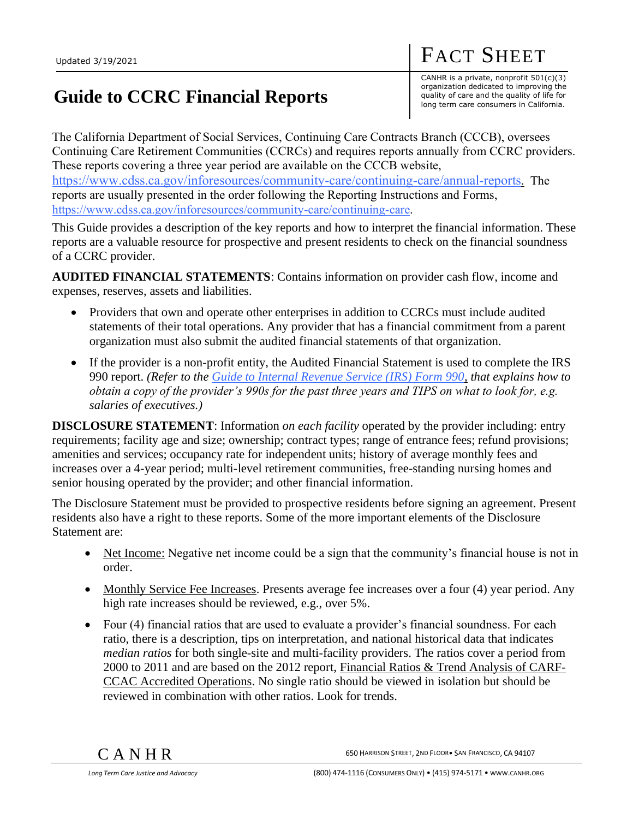## **Guide to CCRC Financial Reports**

CANHR is a private, nonprofit 501(c)(3) organization dedicated to improving the quality of care and the quality of life for long term care consumers in California.

FACT SHEET

The California Department of Social Services, Continuing Care Contracts Branch (CCCB), oversees Continuing Care Retirement Communities (CCRCs) and requires reports annually from CCRC providers. These reports covering a three year period are available on the CCCB website, <https://www.cdss.ca.gov/inforesources/community-care/continuing-care/annual-reports>. The reports are usually presented in the order following the Reporting Instructions and Forms, [https://www.cdss.ca.gov/inforesources/community-care/continuing-care.](https://www.cdss.ca.gov/inforesources/community-care/continuing-care)

This Guide provides a description of the key reports and how to interpret the financial information. These reports are a valuable resource for prospective and present residents to check on the financial soundness of a CCRC provider.

**AUDITED FINANCIAL STATEMENTS**: Contains information on provider cash flow, income and expenses, reserves, assets and liabilities.

- Providers that own and operate other enterprises in addition to CCRCs must include audited statements of their total operations. Any provider that has a financial commitment from a parent organization must also submit the audited financial statements of that organization.
- If the provider is a non-profit entity, the Audited Financial Statement is used to complete the IRS 990 report. *(Refer to the [Guide to Internal Revenue Service \(IRS\) Form 990,](http://www.canhr.org/CCRC/CCRC_guide990.html) that explains how to obtain a copy of the provider's 990s for the past three years and TIPS on what to look for, e.g. salaries of executives.)*

**DISCLOSURE STATEMENT**: Information *on each facility* operated by the provider including: entry requirements; facility age and size; ownership; contract types; range of entrance fees; refund provisions; amenities and services; occupancy rate for independent units; history of average monthly fees and increases over a 4-year period; multi-level retirement communities, free-standing nursing homes and senior housing operated by the provider; and other financial information.

The Disclosure Statement must be provided to prospective residents before signing an agreement. Present residents also have a right to these reports. Some of the more important elements of the Disclosure Statement are:

- Net Income: Negative net income could be a sign that the community's financial house is not in order.
- Monthly Service Fee Increases. Presents average fee increases over a four (4) year period. Any high rate increases should be reviewed, e.g., over 5%.
- Four (4) financial ratios that are used to evaluate a provider's financial soundness. For each ratio, there is a description, tips on interpretation, and national historical data that indicates *median ratios* for both single-site and multi-facility providers. The ratios cover a period from 2000 to 2011 and are based on the 2012 report, Financial Ratios & Trend Analysis of CARF-CCAC Accredited Operations. No single ratio should be viewed in isolation but should be reviewed in combination with other ratios. Look for trends.

 $\rm C~A~N~H~R$  650 Harrison Street, 2nd Floor $\rm \bullet$  San Francisco, CA 94107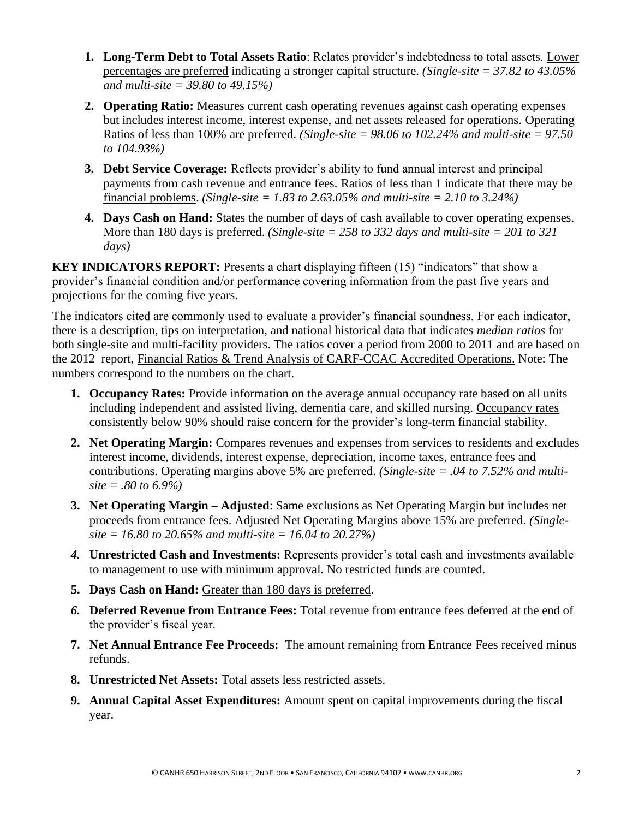- **1. Long-Term Debt to Total Assets Ratio**: Relates provider's indebtedness to total assets. Lower percentages are preferred indicating a stronger capital structure. *(Single-site = 37.82 to 43.05% and multi-site = 39.80 to 49.15%)*
- **2. Operating Ratio:** Measures current cash operating revenues against cash operating expenses but includes interest income, interest expense, and net assets released for operations. Operating Ratios of less than 100% are preferred. *(Single-site = 98.06 to 102.24% and multi-site = 97.50 to 104.93%)*
- **3. Debt Service Coverage:** Reflects provider's ability to fund annual interest and principal payments from cash revenue and entrance fees. Ratios of less than 1 indicate that there may be financial problems. *(Single-site = 1.83 to 2.63.05% and multi-site = 2.10 to 3.24%)*
- **4. Days Cash on Hand:** States the number of days of cash available to cover operating expenses. More than 180 days is preferred. *(Single-site = 258 to 332 days and multi-site = 201 to 321 days)*

**KEY INDICATORS REPORT:** Presents a chart displaying fifteen (15) "indicators" that show a provider's financial condition and/or performance covering information from the past five years and projections for the coming five years.

The indicators cited are commonly used to evaluate a provider's financial soundness. For each indicator, there is a description, tips on interpretation, and national historical data that indicates *median ratios* for both single-site and multi-facility providers. The ratios cover a period from 2000 to 2011 and are based on the 2012 report, Financial Ratios & Trend Analysis of CARF-CCAC Accredited Operations. Note: The numbers correspond to the numbers on the chart.

- **1. Occupancy Rates:** Provide information on the average annual occupancy rate based on all units including independent and assisted living, dementia care, and skilled nursing. Occupancy rates consistently below 90% should raise concern for the provider's long-term financial stability.
- **2. Net Operating Margin:** Compares revenues and expenses from services to residents and excludes interest income, dividends, interest expense, depreciation, income taxes, entrance fees and contributions. Operating margins above 5% are preferred. *(Single-site = .04 to 7.52% and multisite = .80 to 6.9%)*
- **3. Net Operating Margin – Adjusted**: Same exclusions as Net Operating Margin but includes net proceeds from entrance fees. Adjusted Net Operating Margins above 15% are preferred. *(Singlesite = 16.80 to 20.65% and multi-site = 16.04 to 20.27%)*
- *4.* **Unrestricted Cash and Investments:** Represents provider's total cash and investments available to management to use with minimum approval. No restricted funds are counted.
- **5. Days Cash on Hand:** Greater than 180 days is preferred.
- *6.* **Deferred Revenue from Entrance Fees:** Total revenue from entrance fees deferred at the end of the provider's fiscal year.
- **7. Net Annual Entrance Fee Proceeds:** The amount remaining from Entrance Fees received minus refunds.
- **8. Unrestricted Net Assets:** Total assets less restricted assets.
- **9. Annual Capital Asset Expenditures:** Amount spent on capital improvements during the fiscal year.